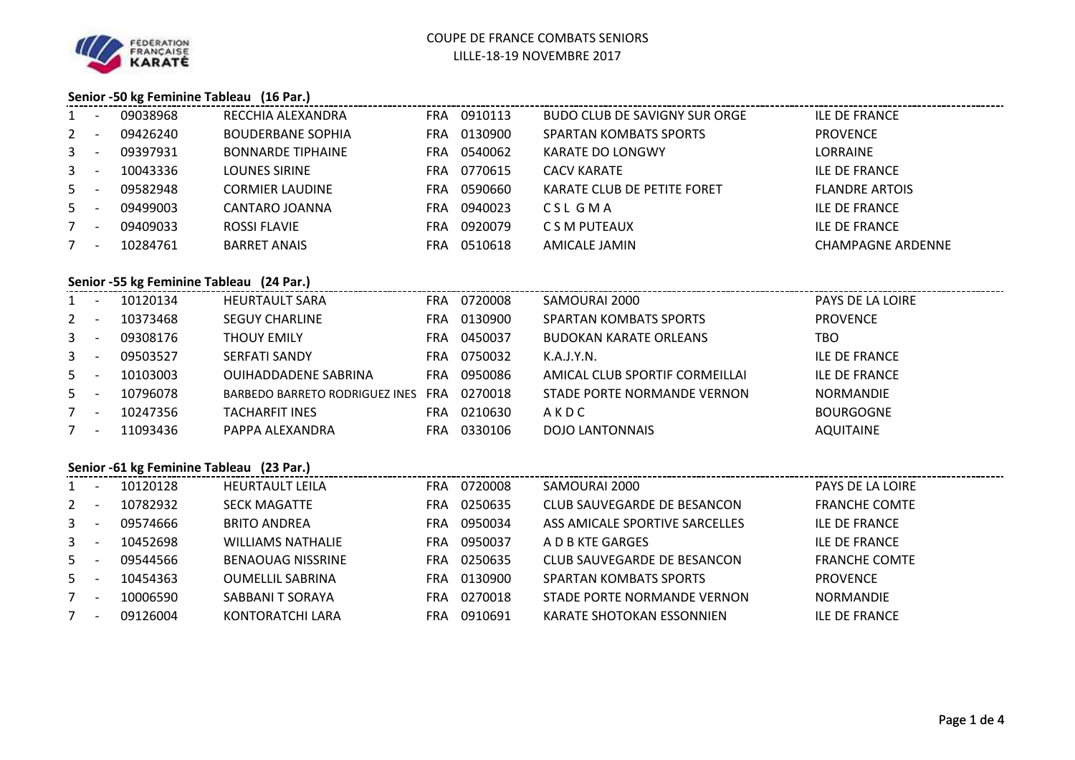

## **Senior -50 kg Feminine Tableau (16 Par.)**

| $1 -$                                    |                                          | 09038968 | RECCHIA ALEXANDRA              |  | FRA 0910113 | BUDO CLUB DE SAVIGNY SUR ORGE  | ILE DE FRANCE            |  |  |  |
|------------------------------------------|------------------------------------------|----------|--------------------------------|--|-------------|--------------------------------|--------------------------|--|--|--|
| $2 -$                                    |                                          | 09426240 | <b>BOUDERBANE SOPHIA</b>       |  | FRA 0130900 | <b>SPARTAN KOMBATS SPORTS</b>  | <b>PROVENCE</b>          |  |  |  |
| $3 - 1$                                  |                                          | 09397931 | <b>BONNARDE TIPHAINE</b>       |  | FRA 0540062 | KARATE DO LONGWY               | <b>LORRAINE</b>          |  |  |  |
| $3 - 5$                                  |                                          | 10043336 | LOUNES SIRINE                  |  | FRA 0770615 | CACV KARATE                    | <b>ILE DE FRANCE</b>     |  |  |  |
| $5 -$                                    |                                          | 09582948 | <b>CORMIER LAUDINE</b>         |  | FRA 0590660 | KARATE CLUB DE PETITE FORET    | <b>FLANDRE ARTOIS</b>    |  |  |  |
| $5 -$                                    |                                          | 09499003 | CANTARO JOANNA                 |  | FRA 0940023 | CSL GMA                        | <b>ILE DE FRANCE</b>     |  |  |  |
| $7 -$                                    |                                          | 09409033 | <b>ROSSI FLAVIE</b>            |  | FRA 0920079 | C S M PUTEAUX                  | <b>ILE DE FRANCE</b>     |  |  |  |
| $7 -$                                    |                                          | 10284761 | <b>BARRET ANAIS</b>            |  | FRA 0510618 | AMICALE JAMIN                  | <b>CHAMPAGNE ARDENNE</b> |  |  |  |
| Senior -55 kg Feminine Tableau (24 Par.) |                                          |          |                                |  |             |                                |                          |  |  |  |
|                                          |                                          |          |                                |  |             |                                |                          |  |  |  |
| $1 -$                                    |                                          | 10120134 | HEURTAULT SARA                 |  | FRA 0720008 | SAMOURAI 2000                  | PAYS DE LA LOIRE         |  |  |  |
| $2 -$                                    |                                          | 10373468 | <b>SEGUY CHARLINE</b>          |  | FRA 0130900 | SPARTAN KOMBATS SPORTS         | <b>PROVENCE</b>          |  |  |  |
| $3 - 1$                                  |                                          | 09308176 | <b>THOUY EMILY</b>             |  | FRA 0450037 | <b>BUDOKAN KARATE ORLEANS</b>  | TBO.                     |  |  |  |
| $3 - 1$                                  |                                          | 09503527 | SERFATI SANDY                  |  | FRA 0750032 | K.A.J.Y.N.                     | <b>ILE DE FRANCE</b>     |  |  |  |
| $5 -$                                    |                                          | 10103003 | OUIHADDADENE SABRINA           |  | FRA 0950086 | AMICAL CLUB SPORTIF CORMEILLAI | <b>ILE DE FRANCE</b>     |  |  |  |
| $5 -$                                    |                                          | 10796078 | BARBEDO BARRETO RODRIGUEZ INES |  | FRA 0270018 | STADE PORTE NORMANDE VERNON    | <b>NORMANDIE</b>         |  |  |  |
| $7 -$                                    |                                          | 10247356 | TACHARFIT INES                 |  | FRA 0210630 | AKDC                           | <b>BOURGOGNE</b>         |  |  |  |
| $7 -$                                    |                                          | 11093436 | PAPPA ALEXANDRA                |  | FRA 0330106 | DOJO LANTONNAIS                | <b>AQUITAINE</b>         |  |  |  |
|                                          | Senior -61 kg Feminine Tableau (23 Par.) |          |                                |  |             |                                |                          |  |  |  |
|                                          |                                          |          |                                |  |             |                                |                          |  |  |  |

| 1            | $\overline{\phantom{a}}$ | 10120128 | <b>HEURTAULT LEILA</b>   | <b>FRA</b> | 0720008 | SAMOURAI 2000                  | PAYS DE LA LOIRE     |
|--------------|--------------------------|----------|--------------------------|------------|---------|--------------------------------|----------------------|
| $2^{\circ}$  | $\overline{\phantom{a}}$ | 10782932 | <b>SECK MAGATTE</b>      | <b>FRA</b> | 0250635 | CLUB SAUVEGARDE DE BESANCON    | <b>FRANCHE COMTE</b> |
| $\mathbf{3}$ |                          | 09574666 | <b>BRITO ANDREA</b>      | <b>FRA</b> | 0950034 | ASS AMICALE SPORTIVE SARCELLES | <b>ILE DE FRANCE</b> |
| $3 -$        | $\overline{\phantom{a}}$ | 10452698 | <b>WILLIAMS NATHALIE</b> | <b>FRA</b> | 0950037 | A D B KTE GARGES               | <b>ILE DE FRANCE</b> |
| $5 -$        |                          | 09544566 | <b>BENAOUAG NISSRINE</b> | <b>FRA</b> | 0250635 | CLUB SAUVEGARDE DE BESANCON    | <b>FRANCHE COMTE</b> |
| $5 -$        |                          | 10454363 | <b>OUMELLIL SABRINA</b>  | <b>FRA</b> | 0130900 | <b>SPARTAN KOMBATS SPORTS</b>  | <b>PROVENCE</b>      |
|              | $\overline{\phantom{a}}$ | 10006590 | SABBANI T SORAYA         | <b>FRA</b> | 0270018 | STADE PORTE NORMANDE VERNON    | <b>NORMANDIE</b>     |
|              | $\overline{\phantom{a}}$ | 09126004 | KONTORATCHI LARA         | <b>FRA</b> | 0910691 | KARATE SHOTOKAN ESSONNIEN      | <b>ILE DE FRANCE</b> |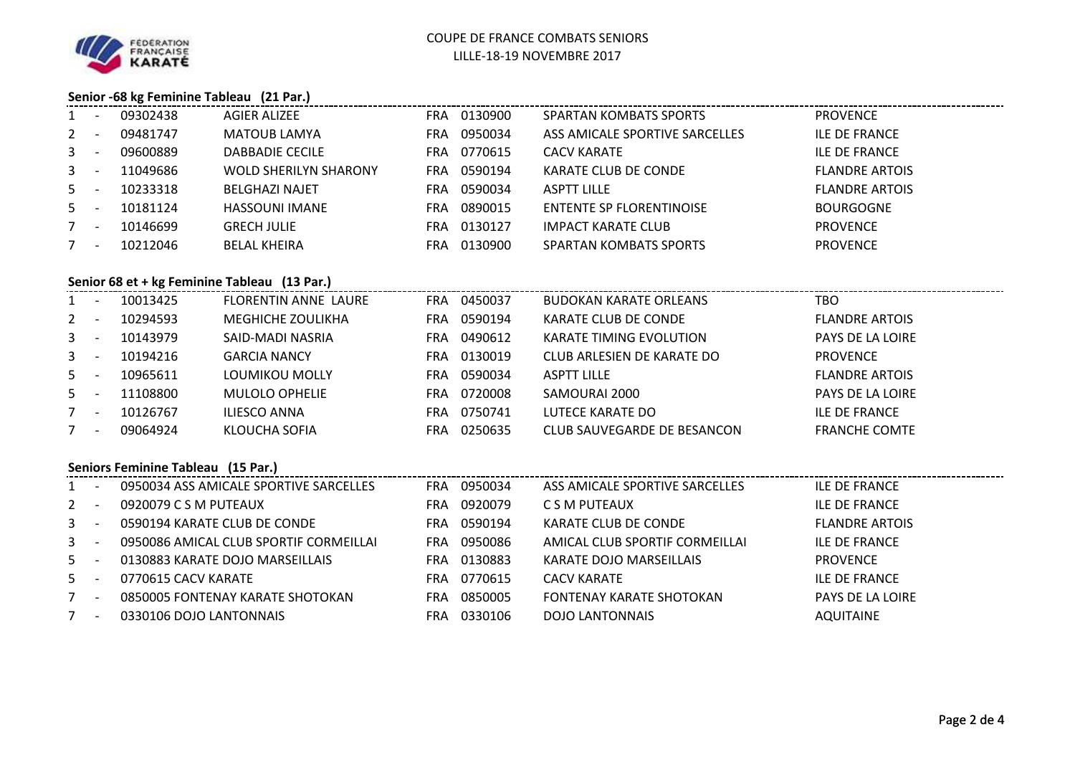

## **Senior -68 kg Feminine Tableau (21 Par.)**

|                                              |                                                   | 1 - 09302438            | <b>AGIER ALIZEE</b>              |  | FRA 0130900 | SPARTAN KOMBATS SPORTS          | <b>PROVENCE</b>       |  |  |  |  |
|----------------------------------------------|---------------------------------------------------|-------------------------|----------------------------------|--|-------------|---------------------------------|-----------------------|--|--|--|--|
| $2 -$                                        |                                                   | 09481747                | MATOUB LAMYA                     |  | FRA 0950034 | ASS AMICALE SPORTIVE SARCELLES  | <b>ILE DE FRANCE</b>  |  |  |  |  |
| $\mathbf{3}$                                 | $\sim 100$                                        | 09600889                | <b>DABBADIE CECILE</b>           |  | FRA 0770615 | <b>CACV KARATE</b>              | <b>ILE DE FRANCE</b>  |  |  |  |  |
| 3                                            | $\sim 100$ km s $^{-1}$                           | 11049686                | WOLD SHERILYN SHARONY            |  | FRA 0590194 | KARATE CLUB DE CONDE            | <b>FLANDRE ARTOIS</b> |  |  |  |  |
|                                              | $5 -$                                             | 10233318                | <b>BELGHAZI NAJET</b>            |  | FRA 0590034 | <b>ASPTT LILLE</b>              | <b>FLANDRE ARTOIS</b> |  |  |  |  |
|                                              | $5 -$                                             | 10181124                | <b>HASSOUNI IMANE</b>            |  | FRA 0890015 | <b>ENTENTE SP FLORENTINOISE</b> | <b>BOURGOGNE</b>      |  |  |  |  |
|                                              | $7 -$                                             | 10146699                | <b>GRECH JULIE</b>               |  | FRA 0130127 | <b>IMPACT KARATE CLUB</b>       | <b>PROVENCE</b>       |  |  |  |  |
|                                              | $7 -$                                             | 10212046                | <b>BELAL KHEIRA</b>              |  | FRA 0130900 | SPARTAN KOMBATS SPORTS          | <b>PROVENCE</b>       |  |  |  |  |
| Senior 68 et + kg Feminine Tableau (13 Par.) |                                                   |                         |                                  |  |             |                                 |                       |  |  |  |  |
|                                              |                                                   | 1 - 10013425            | FLORENTIN ANNE LAURE FRA 0450037 |  |             | <b>BUDOKAN KARATE ORLEANS</b>   | <b>TBO</b>            |  |  |  |  |
|                                              |                                                   | 2 - 10294593            | MEGHICHE ZOULIKHA FRA 0590194    |  |             | KARATE CLUB DE CONDE            | <b>FLANDRE ARTOIS</b> |  |  |  |  |
|                                              |                                                   | 3 - 10143979            | SAID-MADI NASRIA                 |  | FRA 0490612 | KARATE TIMING EVOLUTION         | PAYS DE LA LOIRE      |  |  |  |  |
|                                              | $3 - 1$                                           | 10194216                | <b>GARCIA NANCY</b>              |  | FRA 0130019 | CLUB ARLESIEN DE KARATE DO      | <b>PROVENCE</b>       |  |  |  |  |
|                                              | $5 -$                                             | 10965611                | LOUMIKOU MOLLY                   |  | FRA 0590034 | <b>ASPTT LILLE</b>              | <b>FLANDRE ARTOIS</b> |  |  |  |  |
|                                              |                                                   | 5 - 11108800            | <b>MULOLO OPHELIE</b>            |  | FRA 0720008 | SAMOURAI 2000                   | PAYS DE LA LOIRE      |  |  |  |  |
|                                              | $7 -$                                             | 10126767                | <b>ILIESCO ANNA</b>              |  | FRA 0750741 | LUTECE KARATE DO                | <b>ILE DE FRANCE</b>  |  |  |  |  |
|                                              | $7 -$                                             | 09064924                | KLOUCHA SOFIA                    |  | FRA 0250635 | CLUB SAUVEGARDE DE BESANCON     | <b>FRANCHE COMTE</b>  |  |  |  |  |
|                                              | Seniors Feminine Tableau (15 Par.)                |                         |                                  |  |             |                                 |                       |  |  |  |  |
|                                              | 0950034 ASS AMICALE SPORTIVE SARCELLES<br>$1 -$   |                         |                                  |  | FRA 0950034 | ASS AMICALE SPORTIVE SARCELLES  | ILE DE FRANCE         |  |  |  |  |
| $2 -$                                        |                                                   | 0920079 C S M PUTEAUX   |                                  |  | FRA 0920079 | C S M PUTEAUX                   | <b>ILE DE FRANCE</b>  |  |  |  |  |
| 3                                            | $\sim 10^{-1}$                                    |                         | 0590194 KARATE CLUB DE CONDE     |  | FRA 0590194 | KARATE CLUB DE CONDE            | <b>FLANDRE ARTOIS</b> |  |  |  |  |
|                                              | 0950086 AMICAL CLUB SPORTIF CORMEILLAI<br>$3 - 1$ |                         |                                  |  | FRA 0950086 | AMICAL CLUB SPORTIF CORMEILLAI  | <b>ILE DE FRANCE</b>  |  |  |  |  |
|                                              | $5 -$<br>0130883 KARATE DOJO MARSEILLAIS          |                         |                                  |  | FRA 0130883 | KARATE DOJO MARSEILLAIS         | <b>PROVENCE</b>       |  |  |  |  |
|                                              | $5 - 1$<br>0770615 CACV KARATE                    |                         |                                  |  | FRA 0770615 | <b>CACV KARATE</b>              | <b>ILE DE FRANCE</b>  |  |  |  |  |
| $7 -$                                        |                                                   |                         | 0850005 FONTENAY KARATE SHOTOKAN |  | FRA 0850005 | <b>FONTENAY KARATE SHOTOKAN</b> | PAYS DE LA LOIRE      |  |  |  |  |
|                                              | $7 -$                                             | 0330106 DOJO LANTONNAIS |                                  |  | FRA 0330106 | <b>DOJO LANTONNAIS</b>          | <b>AQUITAINE</b>      |  |  |  |  |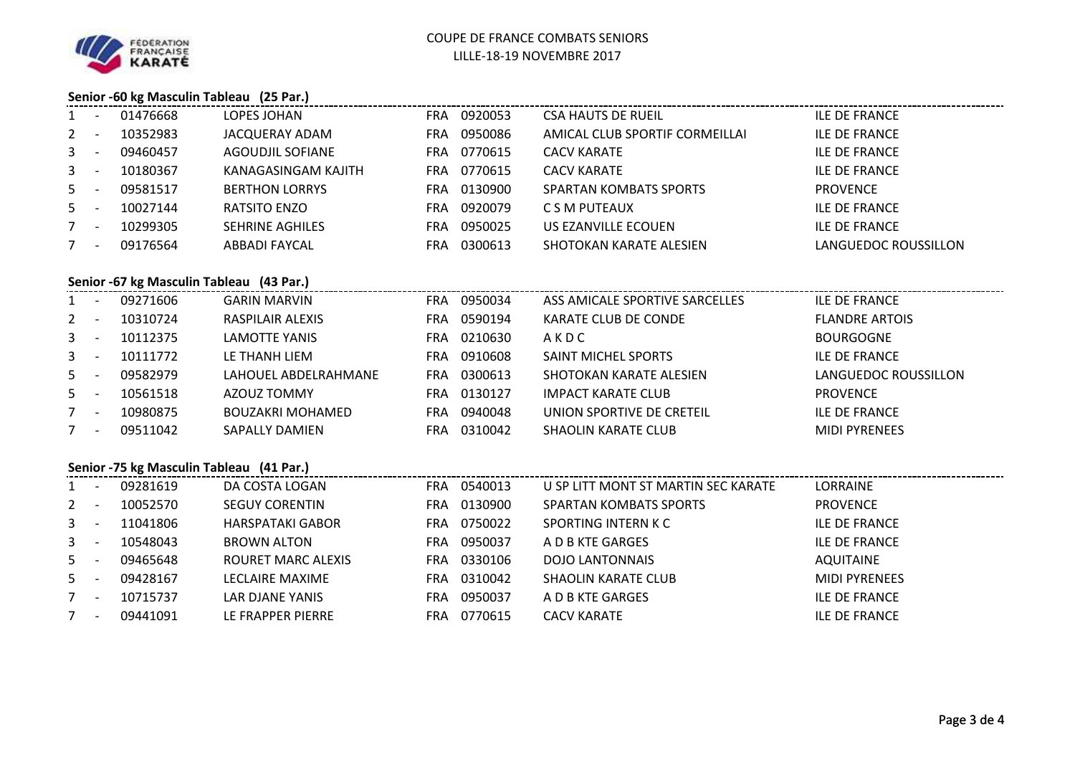

## **Senior -60 kg Masculin Tableau (25 Par.)**

| $1 -$                                    |               | 01476668     | LOPES JOHAN             |  | FRA 0920053 | <b>CSA HAUTS DE RUEIL</b>           | <b>ILE DE FRANCE</b>  |  |  |  |
|------------------------------------------|---------------|--------------|-------------------------|--|-------------|-------------------------------------|-----------------------|--|--|--|
| $2 -$                                    |               | 10352983     | JACQUERAY ADAM          |  | FRA 0950086 | AMICAL CLUB SPORTIF CORMEILLAI      | <b>ILE DE FRANCE</b>  |  |  |  |
| $3 - 1$                                  |               | 09460457     | <b>AGOUDJIL SOFIANE</b> |  | FRA 0770615 | <b>CACV KARATE</b>                  | <b>ILE DE FRANCE</b>  |  |  |  |
|                                          | $3 - 1$       | 10180367     | KANAGASINGAM KAJITH     |  | FRA 0770615 | <b>CACV KARATE</b>                  | <b>ILE DE FRANCE</b>  |  |  |  |
| $5 -$                                    |               | 09581517     | <b>BERTHON LORRYS</b>   |  | FRA 0130900 | <b>SPARTAN KOMBATS SPORTS</b>       | <b>PROVENCE</b>       |  |  |  |
| $5 - 5$                                  |               | 10027144     | <b>RATSITO ENZO</b>     |  | FRA 0920079 | C S M PUTEAUX                       | <b>ILE DE FRANCE</b>  |  |  |  |
|                                          | $7 -$         | 10299305     | <b>SEHRINE AGHILES</b>  |  | FRA 0950025 | US EZANVILLE ECOUEN                 | <b>ILE DE FRANCE</b>  |  |  |  |
| $7 -$                                    |               | 09176564     | <b>ABBADI FAYCAL</b>    |  | FRA 0300613 | SHOTOKAN KARATE ALESIEN             | LANGUEDOC ROUSSILLON  |  |  |  |
| Senior -67 kg Masculin Tableau (43 Par.) |               |              |                         |  |             |                                     |                       |  |  |  |
|                                          |               | 1 - 09271606 | <b>GARIN MARVIN</b>     |  | FRA 0950034 | ASS AMICALE SPORTIVE SARCELLES      | <b>ILE DE FRANCE</b>  |  |  |  |
| $2 -$                                    |               | 10310724     | RASPILAIR ALEXIS        |  | FRA 0590194 | KARATE CLUB DE CONDE                | <b>FLANDRE ARTOIS</b> |  |  |  |
|                                          | $3 - 1$       | 10112375     | LAMOTTE YANIS           |  | FRA 0210630 | AKDC                                | <b>BOURGOGNE</b>      |  |  |  |
| $\mathbf{3}$                             | $\sim$ $\sim$ | 10111772     | LE THANH LIEM           |  | FRA 0910608 | SAINT MICHEL SPORTS                 | <b>ILE DE FRANCE</b>  |  |  |  |
| 5 <sub>1</sub>                           | $\sim 100$    | 09582979     | LAHOUEL ABDELRAHMANE    |  | FRA 0300613 | SHOTOKAN KARATE ALESIEN             | LANGUEDOC ROUSSILLON  |  |  |  |
| $5 -$                                    |               | 10561518     | AZOUZ TOMMY             |  | FRA 0130127 | <b>IMPACT KARATE CLUB</b>           | <b>PROVENCE</b>       |  |  |  |
| $7 -$                                    |               | 10980875     | <b>BOUZAKRI MOHAMED</b> |  | FRA 0940048 | UNION SPORTIVE DE CRETEIL           | <b>ILE DE FRANCE</b>  |  |  |  |
| $7 -$                                    |               | 09511042     | <b>SAPALLY DAMIEN</b>   |  | FRA 0310042 | <b>SHAOLIN KARATE CLUB</b>          | <b>MIDI PYRENEES</b>  |  |  |  |
| Senior -75 kg Masculin Tableau (41 Par.) |               |              |                         |  |             |                                     |                       |  |  |  |
|                                          |               | 1 - 09281619 | DA COSTA LOGAN          |  | FRA 0540013 | U SP LITT MONT ST MARTIN SEC KARATE | LORRAINE              |  |  |  |
| $2 -$                                    |               | 10052570     | <b>SEGUY CORENTIN</b>   |  | FRA 0130900 | <b>SPARTAN KOMBATS SPORTS</b>       | <b>PROVENCE</b>       |  |  |  |
| $\mathbf{3}$                             | $\sim$ $-$    | 11041806     | HARSPATAKI GABOR        |  | FRA 0750022 | SPORTING INTERN K C                 | <b>ILE DE FRANCE</b>  |  |  |  |
|                                          | $3 - 1$       | 10548043     | <b>BROWN ALTON</b>      |  | FRA 0950037 | A D B KTE GARGES                    | <b>ILE DE FRANCE</b>  |  |  |  |
| $5 -$                                    |               | 09465648     | ROURET MARC ALEXIS      |  | FRA 0330106 | <b>DOJO LANTONNAIS</b>              | <b>AQUITAINE</b>      |  |  |  |
| $5 - 5$                                  |               | 09428167     | <b>LECLAIRE MAXIME</b>  |  | FRA 0310042 | <b>SHAOLIN KARATE CLUB</b>          | <b>MIDI PYRENEES</b>  |  |  |  |
| $7 -$                                    |               | 10715737     | LAR DJANE YANIS         |  | FRA 0950037 | A D B KTE GARGES                    | <b>ILE DE FRANCE</b>  |  |  |  |
|                                          | $7 -$         | 09441091     | LE FRAPPER PIERRE       |  | FRA 0770615 | <b>CACV KARATE</b>                  | <b>ILE DE FRANCE</b>  |  |  |  |